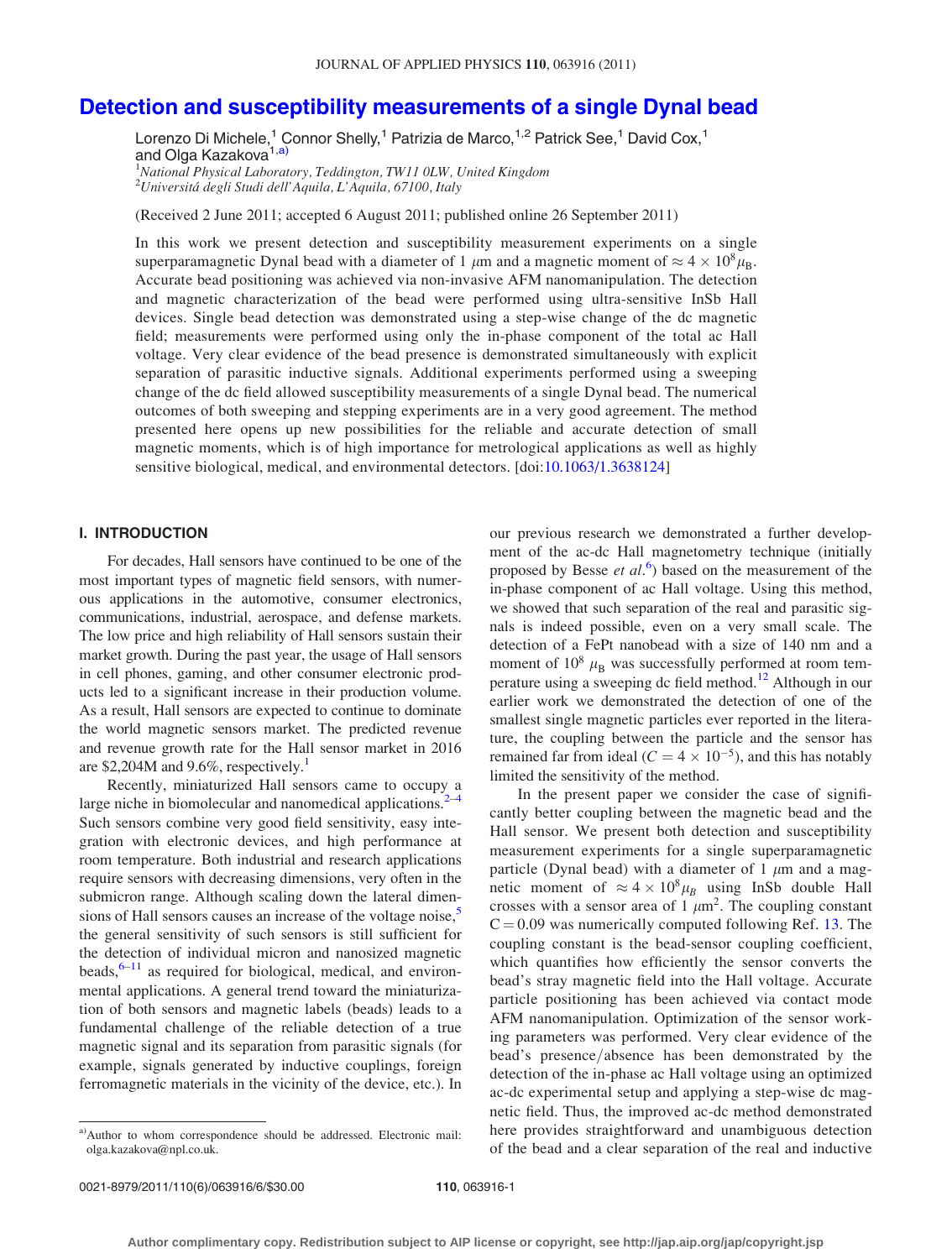# [Detection and susceptibility measurements of a single Dynal bead](http://dx.doi.org/10.1063/1.3638124)

Lorenzo Di Michele,<sup>1</sup> Connor Shelly,<sup>1</sup> Patrizia de Marco,<sup>1,2</sup> Patrick See,<sup>1</sup> David Cox,<sup>1</sup> and Olga Kazakova<sup>1,a)</sup>

<sup>1</sup>National Physical Laboratory, Teddington, TW11 0LW, United Kingdom <sup>2</sup>Universitá degli Studi dell'Aquila, L'Aquila, 67100, Italy

(Received 2 June 2011; accepted 6 August 2011; published online 26 September 2011)

In this work we present detection and susceptibility measurement experiments on a single superparamagnetic Dynal bead with a diameter of 1  $\mu$ m and a magnetic moment of  $\approx 4 \times 10^8 \mu_B$ . Accurate bead positioning was achieved via non-invasive AFM nanomanipulation. The detection and magnetic characterization of the bead were performed using ultra-sensitive InSb Hall devices. Single bead detection was demonstrated using a step-wise change of the dc magnetic field; measurements were performed using only the in-phase component of the total ac Hall voltage. Very clear evidence of the bead presence is demonstrated simultaneously with explicit separation of parasitic inductive signals. Additional experiments performed using a sweeping change of the dc field allowed susceptibility measurements of a single Dynal bead. The numerical outcomes of both sweeping and stepping experiments are in a very good agreement. The method presented here opens up new possibilities for the reliable and accurate detection of small magnetic moments, which is of high importance for metrological applications as well as highly sensitive biological, medical, and environmental detectors. [doi:[10.1063/1.3638124\]](http://dx.doi.org/10.1063/1.3638124)

# I. INTRODUCTION

For decades, Hall sensors have continued to be one of the most important types of magnetic field sensors, with numerous applications in the automotive, consumer electronics, communications, industrial, aerospace, and defense markets. The low price and high reliability of Hall sensors sustain their market growth. During the past year, the usage of Hall sensors in cell phones, gaming, and other consumer electronic products led to a significant increase in their production volume. As a result, Hall sensors are expected to continue to dominate the world magnetic sensors market. The predicted revenue and revenue growth rate for the Hall sensor market in 2016 are \$2,204M and  $9.6\%$ , respectively.<sup>[1](#page-5-0)</sup>

Recently, miniaturized Hall sensors came to occupy a large niche in biomolecular and nanomedical applications.<sup>2</sup> Such sensors combine very good field sensitivity, easy integration with electronic devices, and high performance at room temperature. Both industrial and research applications require sensors with decreasing dimensions, very often in the submicron range. Although scaling down the lateral dimensions of Hall sensors causes an increase of the voltage noise,<sup>5</sup> the general sensitivity of such sensors is still sufficient for the detection of individual micron and nanosized magnetic beads,  $6-11$  $6-11$  as required for biological, medical, and environmental applications. A general trend toward the miniaturization of both sensors and magnetic labels (beads) leads to a fundamental challenge of the reliable detection of a true magnetic signal and its separation from parasitic signals (for example, signals generated by inductive couplings, foreign ferromagnetic materials in the vicinity of the device, etc.). In our previous research we demonstrated a further development of the ac-dc Hall magnetometry technique (initially proposed by Besse et  $al$ .<sup>[6](#page-5-0)</sup>) based on the measurement of the in-phase component of ac Hall voltage. Using this method, we showed that such separation of the real and parasitic signals is indeed possible, even on a very small scale. The detection of a FePt nanobead with a size of 140 nm and a moment of  $10^8$   $\mu_B$  was successfully performed at room tem-perature using a sweeping dc field method.<sup>[12](#page-5-0)</sup> Although in our earlier work we demonstrated the detection of one of the smallest single magnetic particles ever reported in the literature, the coupling between the particle and the sensor has remained far from ideal ( $C = 4 \times 10^{-5}$ ), and this has notably limited the sensitivity of the method.

In the present paper we consider the case of significantly better coupling between the magnetic bead and the Hall sensor. We present both detection and susceptibility measurement experiments for a single superparamagnetic particle (Dynal bead) with a diameter of 1  $\mu$ m and a magnetic moment of  $\approx 4 \times 10^8 \mu_B$  using InSb double Hall crosses with a sensor area of 1  $\mu$ m<sup>2</sup>. The coupling constant  $C = 0.09$  was numerically computed following Ref. [13.](#page-5-0) The coupling constant is the bead-sensor coupling coefficient, which quantifies how efficiently the sensor converts the bead's stray magnetic field into the Hall voltage. Accurate particle positioning has been achieved via contact mode AFM nanomanipulation. Optimization of the sensor working parameters was performed. Very clear evidence of the bead's presence/absence has been demonstrated by the detection of the in-phase ac Hall voltage using an optimized ac-dc experimental setup and applying a step-wise dc magnetic field. Thus, the improved ac-dc method demonstrated here provides straightforward and unambiguous detection of the bead and a clear separation of the real and inductive

a)Author to whom correspondence should be addressed. Electronic mail: olga.kazakova@npl.co.uk.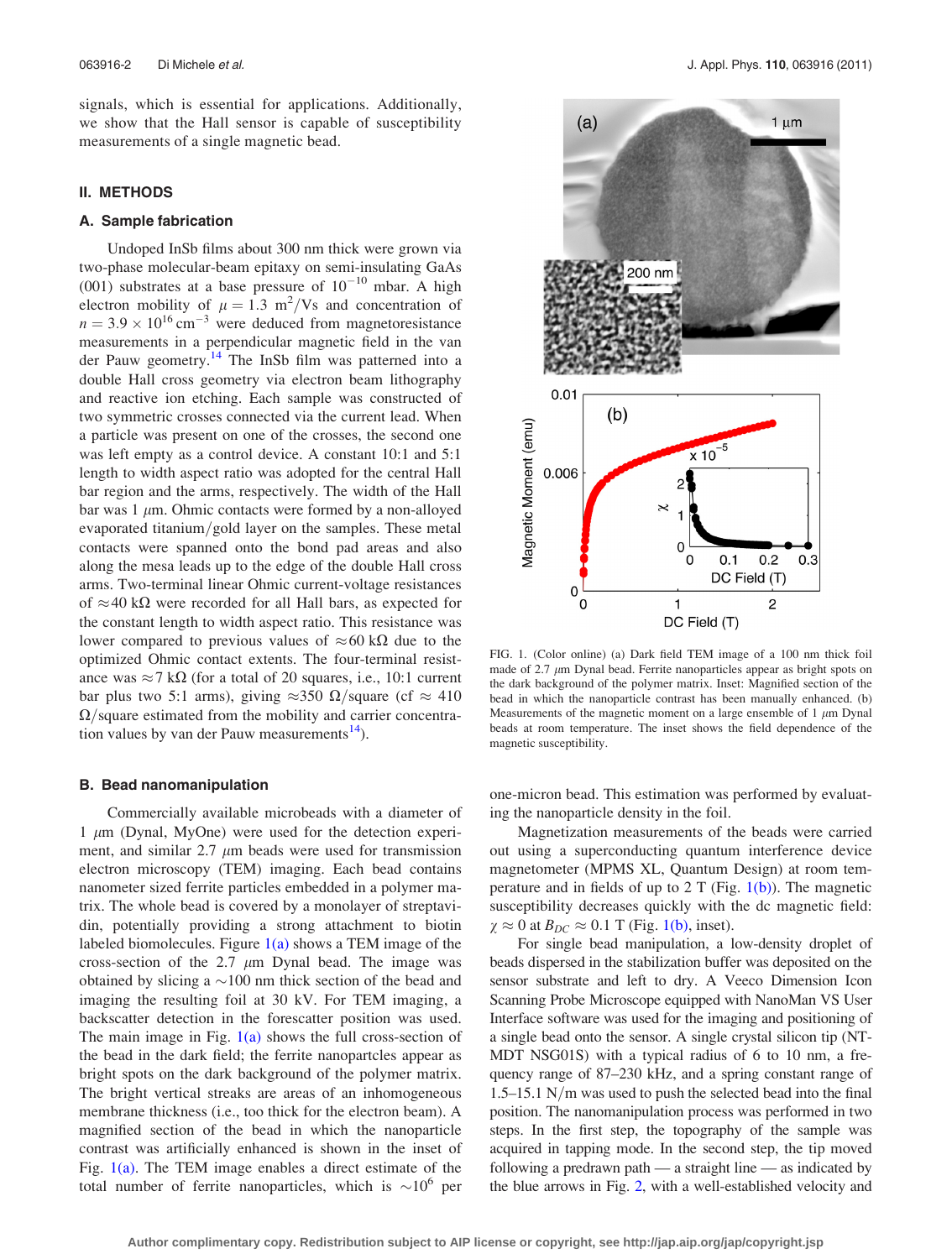<span id="page-1-0"></span>signals, which is essential for applications. Additionally, we show that the Hall sensor is capable of susceptibility measurements of a single magnetic bead.

### II. METHODS

#### A. Sample fabrication

Undoped InSb films about 300 nm thick were grown via two-phase molecular-beam epitaxy on semi-insulating GaAs (001) substrates at a base pressure of  $10^{-10}$  mbar. A high electron mobility of  $\mu = 1.3 \text{ m}^2/\text{Vs}$  and concentration of  $n = 3.9 \times 10^{16}$  cm<sup>-3</sup> were deduced from magnetoresistance measurements in a perpendicular magnetic field in the van der Pauw geometry[.14](#page-5-0) The InSb film was patterned into a double Hall cross geometry via electron beam lithography and reactive ion etching. Each sample was constructed of two symmetric crosses connected via the current lead. When a particle was present on one of the crosses, the second one was left empty as a control device. A constant 10:1 and 5:1 length to width aspect ratio was adopted for the central Hall bar region and the arms, respectively. The width of the Hall bar was  $1 \mu m$ . Ohmic contacts were formed by a non-alloyed evaporated titanium/gold layer on the samples. These metal contacts were spanned onto the bond pad areas and also along the mesa leads up to the edge of the double Hall cross arms. Two-terminal linear Ohmic current-voltage resistances of  $\approx$  40 k $\Omega$  were recorded for all Hall bars, as expected for the constant length to width aspect ratio. This resistance was lower compared to previous values of  $\approx 60 \text{ k}\Omega$  due to the optimized Ohmic contact extents. The four-terminal resistance was  $\approx$  7 k $\Omega$  (for a total of 20 squares, i.e., 10:1 current bar plus two 5:1 arms), giving  $\approx$ 350  $\Omega$ /square (cf  $\approx$  410  $\Omega$ /square estimated from the mobility and carrier concentration values by van der Pauw measurements<sup>14</sup>).

#### B. Bead nanomanipulation

Commercially available microbeads with a diameter of 1  $\mu$ m (Dynal, MyOne) were used for the detection experiment, and similar 2.7  $\mu$ m beads were used for transmission electron microscopy (TEM) imaging. Each bead contains nanometer sized ferrite particles embedded in a polymer matrix. The whole bead is covered by a monolayer of streptavidin, potentially providing a strong attachment to biotin labeled biomolecules. Figure  $1(a)$  shows a TEM image of the cross-section of the  $2.7 \mu m$  Dynal bead. The image was obtained by slicing a  $\sim$ 100 nm thick section of the bead and imaging the resulting foil at 30 kV. For TEM imaging, a backscatter detection in the forescatter position was used. The main image in Fig.  $1(a)$  shows the full cross-section of the bead in the dark field; the ferrite nanopartcles appear as bright spots on the dark background of the polymer matrix. The bright vertical streaks are areas of an inhomogeneous membrane thickness (i.e., too thick for the electron beam). A magnified section of the bead in which the nanoparticle contrast was artificially enhanced is shown in the inset of Fig.  $1(a)$ . The TEM image enables a direct estimate of the total number of ferrite nanoparticles, which is  $\sim 10^6$  per



FIG. 1. (Color online) (a) Dark field TEM image of a 100 nm thick foil made of 2.7  $\mu$ m Dynal bead. Ferrite nanoparticles appear as bright spots on the dark background of the polymer matrix. Inset: Magnified section of the bead in which the nanoparticle contrast has been manually enhanced. (b) Measurements of the magnetic moment on a large ensemble of 1  $\mu$ m Dynal beads at room temperature. The inset shows the field dependence of the magnetic susceptibility.

one-micron bead. This estimation was performed by evaluating the nanoparticle density in the foil.

Magnetization measurements of the beads were carried out using a superconducting quantum interference device magnetometer (MPMS XL, Quantum Design) at room temperature and in fields of up to 2 T (Fig.  $1(b)$ ). The magnetic susceptibility decreases quickly with the dc magnetic field:  $\chi \approx 0$  at  $B_{DC} \approx 0.1$  T (Fig. 1(b), inset).

For single bead manipulation, a low-density droplet of beads dispersed in the stabilization buffer was deposited on the sensor substrate and left to dry. A Veeco Dimension Icon Scanning Probe Microscope equipped with NanoMan VS User Interface software was used for the imaging and positioning of a single bead onto the sensor. A single crystal silicon tip (NT-MDT NSG01S) with a typical radius of 6 to 10 nm, a frequency range of 87–230 kHz, and a spring constant range of 1.5–15.1 N/m was used to push the selected bead into the final position. The nanomanipulation process was performed in two steps. In the first step, the topography of the sample was acquired in tapping mode. In the second step, the tip moved following a predrawn path — a straight line — as indicated by the blue arrows in Fig. [2](#page-2-0), with a well-established velocity and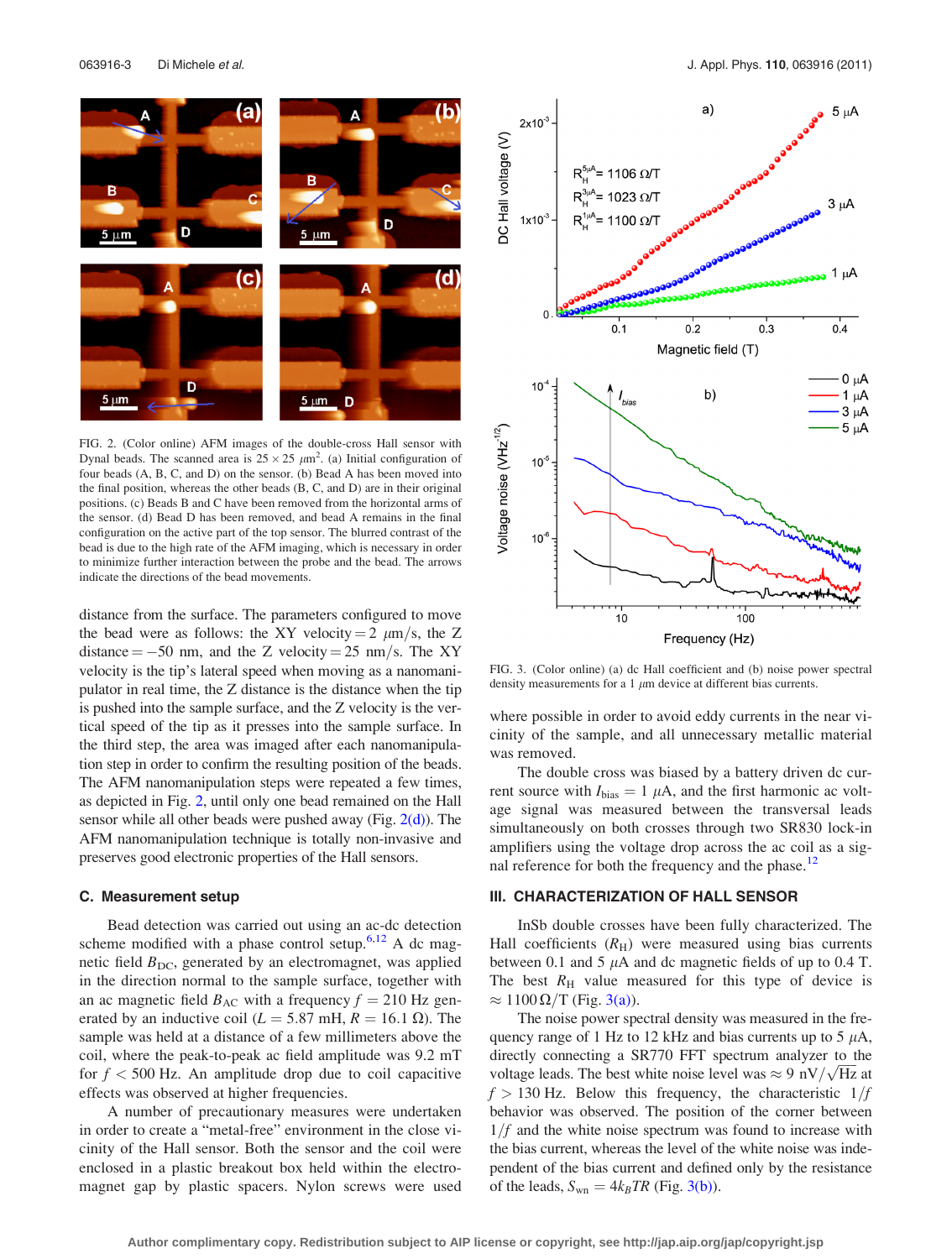<span id="page-2-0"></span>

FIG. 2. (Color online) AFM images of the double-cross Hall sensor with Dynal beads. The scanned area is  $25 \times 25 \ \mu \text{m}^2$ . (a) Initial configuration of four beads (A, B, C, and D) on the sensor. (b) Bead A has been moved into the final position, whereas the other beads (B, C, and D) are in their original positions. (c) Beads B and C have been removed from the horizontal arms of the sensor. (d) Bead D has been removed, and bead A remains in the final configuration on the active part of the top sensor. The blurred contrast of the bead is due to the high rate of the AFM imaging, which is necessary in order to minimize further interaction between the probe and the bead. The arrows indicate the directions of the bead movements.

distance from the surface. The parameters configured to move the bead were as follows: the XY velocity = 2  $\mu$ m/s, the Z distance  $= -50$  nm, and the Z velocity  $= 25$  nm/s. The XY velocity is the tip's lateral speed when moving as a nanomanipulator in real time, the Z distance is the distance when the tip is pushed into the sample surface, and the Z velocity is the vertical speed of the tip as it presses into the sample surface. In the third step, the area was imaged after each nanomanipulation step in order to confirm the resulting position of the beads. The AFM nanomanipulation steps were repeated a few times, as depicted in Fig. 2, until only one bead remained on the Hall sensor while all other beads were pushed away (Fig.  $2(d)$ ). The AFM nanomanipulation technique is totally non-invasive and preserves good electronic properties of the Hall sensors.

#### C. Measurement setup

Bead detection was carried out using an ac-dc detection scheme modified with a phase control setup. $6,12$  A dc magnetic field  $B_{\text{DC}}$ , generated by an electromagnet, was applied in the direction normal to the sample surface, together with an ac magnetic field  $B_{AC}$  with a frequency  $f = 210$  Hz generated by an inductive coil ( $L = 5.87$  mH,  $R = 16.1 \Omega$ ). The sample was held at a distance of a few millimeters above the coil, where the peak-to-peak ac field amplitude was 9.2 mT for  $f < 500$  Hz. An amplitude drop due to coil capacitive effects was observed at higher frequencies.

A number of precautionary measures were undertaken in order to create a "metal-free" environment in the close vicinity of the Hall sensor. Both the sensor and the coil were enclosed in a plastic breakout box held within the electromagnet gap by plastic spacers. Nylon screws were used



FIG. 3. (Color online) (a) dc Hall coefficient and (b) noise power spectral density measurements for a 1  $\mu$ m device at different bias currents.

where possible in order to avoid eddy currents in the near vicinity of the sample, and all unnecessary metallic material was removed.

The double cross was biased by a battery driven dc current source with  $I_{bias} = 1 \mu A$ , and the first harmonic ac voltage signal was measured between the transversal leads simultaneously on both crosses through two SR830 lock-in amplifiers using the voltage drop across the ac coil as a signal reference for both the frequency and the phase. $12$ 

### III. CHARACTERIZATION OF HALL SENSOR

InSb double crosses have been fully characterized. The Hall coefficients  $(R_H)$  were measured using bias currents between 0.1 and 5  $\mu$ A and dc magnetic fields of up to 0.4 T. The best  $R<sub>H</sub>$  value measured for this type of device is  $\approx 1100 \,\Omega/T$  (Fig. 3(a)).

The noise power spectral density was measured in the frequency range of 1 Hz to 12 kHz and bias currents up to 5  $\mu$ A, directly connecting a SR770 FFT spectrum analyzer to the diffectly connecting a  $SK/70$  FFT spectrum analyzer to the voltage leads. The best white noise level was  $\approx 9 \text{ nV}/\sqrt{\text{Hz}}$  at  $f > 130$  Hz. Below this frequency, the characteristic  $1/f$ behavior was observed. The position of the corner between  $1/f$  and the white noise spectrum was found to increase with the bias current, whereas the level of the white noise was independent of the bias current and defined only by the resistance of the leads,  $S_{wn} = 4k_BT R$  (Fig. 3(b)).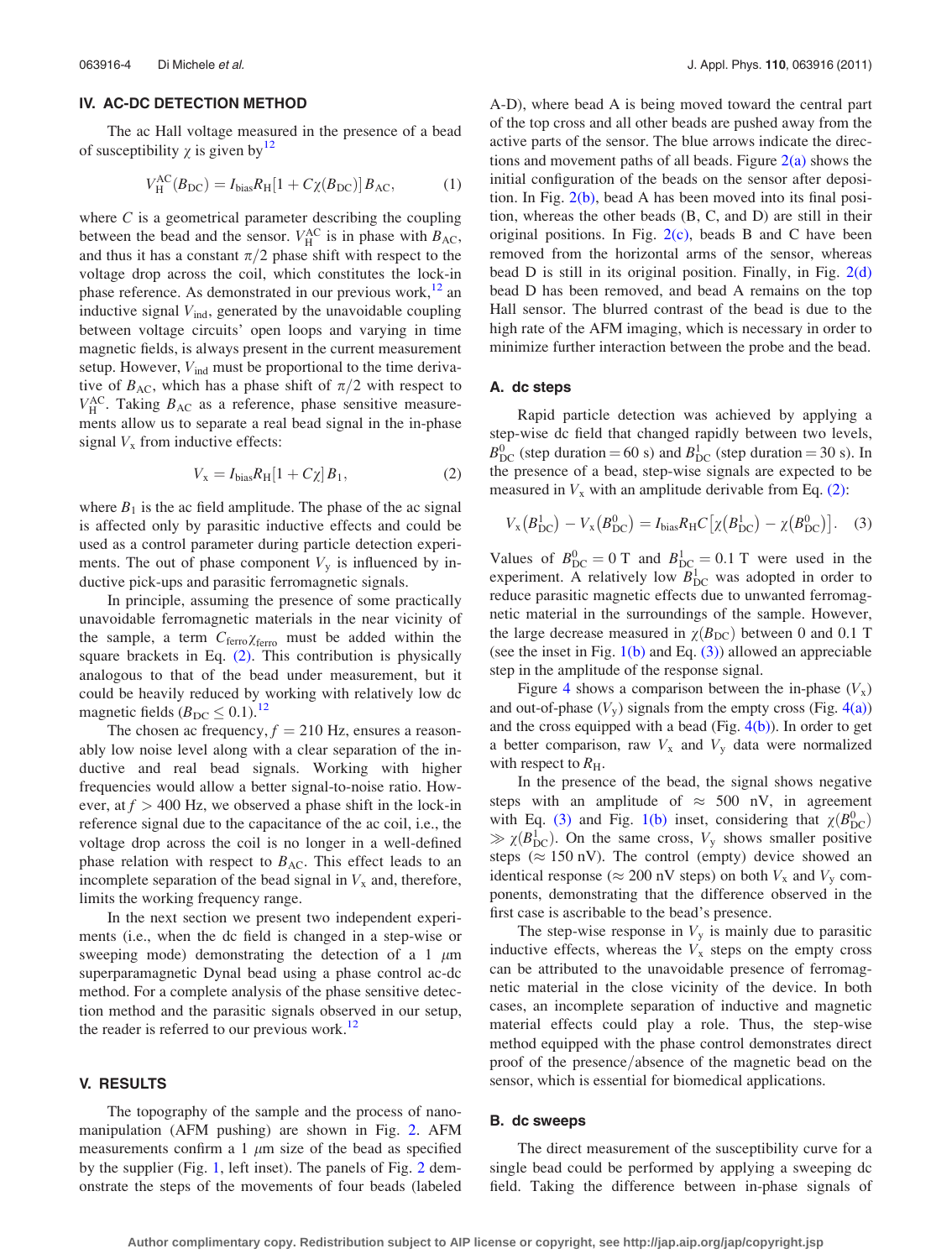#### <span id="page-3-0"></span>IV. AC-DC DETECTION METHOD

The ac Hall voltage measured in the presence of a bead of susceptibility  $\gamma$  is given by  $12$ 

$$
V_{\rm H}^{\rm AC}(B_{\rm DC}) = I_{\rm bias} R_{\rm H} [1 + C\chi(B_{\rm DC})] B_{\rm AC},\tag{1}
$$

where  $C$  is a geometrical parameter describing the coupling between the bead and the sensor.  $V_{\rm H}^{\rm AC}$  is in phase with  $B_{\rm AC}$ , and thus it has a constant  $\pi/2$  phase shift with respect to the voltage drop across the coil, which constitutes the lock-in phase reference. As demonstrated in our previous work, $12$  an inductive signal  $V_{\text{ind}}$ , generated by the unavoidable coupling between voltage circuits' open loops and varying in time magnetic fields, is always present in the current measurement setup. However,  $V_{ind}$  must be proportional to the time derivative of  $B_{AC}$ , which has a phase shift of  $\pi/2$  with respect to  $V_{\rm H}^{\rm AC}$ . Taking  $B_{\rm AC}$  as a reference, phase sensitive measurements allow us to separate a real bead signal in the in-phase signal  $V_x$  from inductive effects:

$$
V_{\mathbf{x}} = I_{\text{bias}} R_{\text{H}} [1 + C \chi] B_1,\tag{2}
$$

where  $B_1$  is the ac field amplitude. The phase of the ac signal is affected only by parasitic inductive effects and could be used as a control parameter during particle detection experiments. The out of phase component  $V<sub>y</sub>$  is influenced by inductive pick-ups and parasitic ferromagnetic signals.

In principle, assuming the presence of some practically unavoidable ferromagnetic materials in the near vicinity of the sample, a term  $C_{\text{ferro}} \chi_{\text{ferro}}$  must be added within the square brackets in Eq. (2). This contribution is physically analogous to that of the bead under measurement, but it could be heavily reduced by working with relatively low dc magnetic fields  $(B_{\text{DC}} \leq 0.1)$ .<sup>[12](#page-5-0)</sup>

The chosen ac frequency,  $f = 210$  Hz, ensures a reasonably low noise level along with a clear separation of the inductive and real bead signals. Working with higher frequencies would allow a better signal-to-noise ratio. However, at  $f > 400$  Hz, we observed a phase shift in the lock-in reference signal due to the capacitance of the ac coil, i.e., the voltage drop across the coil is no longer in a well-defined phase relation with respect to  $B_{AC}$ . This effect leads to an incomplete separation of the bead signal in  $V_x$  and, therefore, limits the working frequency range.

In the next section we present two independent experiments (i.e., when the dc field is changed in a step-wise or sweeping mode) demonstrating the detection of a 1  $\mu$ m superparamagnetic Dynal bead using a phase control ac-dc method. For a complete analysis of the phase sensitive detection method and the parasitic signals observed in our setup, the reader is referred to our previous work.<sup>12</sup>

# V. RESULTS

The topography of the sample and the process of nanomanipulation (AFM pushing) are shown in Fig. [2.](#page-2-0) AFM measurements confirm a 1  $\mu$ m size of the bead as specified by the supplier (Fig. [1,](#page-1-0) left inset). The panels of Fig. [2](#page-2-0) demonstrate the steps of the movements of four beads (labeled A-D), where bead A is being moved toward the central part of the top cross and all other beads are pushed away from the active parts of the sensor. The blue arrows indicate the directions and movement paths of all beads. Figure  $2(a)$  shows the initial configuration of the beads on the sensor after deposition. In Fig. [2\(b\),](#page-2-0) bead A has been moved into its final position, whereas the other beads (B, C, and D) are still in their original positions. In Fig.  $2(c)$ , beads B and C have been removed from the horizontal arms of the sensor, whereas bead D is still in its original position. Finally, in Fig.  $2(d)$ bead D has been removed, and bead A remains on the top Hall sensor. The blurred contrast of the bead is due to the high rate of the AFM imaging, which is necessary in order to minimize further interaction between the probe and the bead.

# A. dc steps

Rapid particle detection was achieved by applying a step-wise dc field that changed rapidly between two levels,  $B_{\text{DC}}^0$  (step duration = 60 s) and  $B_{\text{DC}}^1$  (step duration = 30 s). In the presence of a bead, step-wise signals are expected to be measured in  $V_x$  with an amplitude derivable from Eq. (2):

$$
V_{\rm x}(B_{\rm DC}^1) - V_{\rm x}(B_{\rm DC}^0) = I_{\rm bias} R_{\rm H} C \left[ \chi(B_{\rm DC}^1) - \chi(B_{\rm DC}^0) \right]. \tag{3}
$$

Values of  $B_{DC}^0 = 0$  T and  $B_{DC}^1 = 0.1$  T were used in the experiment. A relatively low  $B_{\text{DC}}^1$  was adopted in order to reduce parasitic magnetic effects due to unwanted ferromagnetic material in the surroundings of the sample. However, the large decrease measured in  $\gamma(B_{DC})$  between 0 and 0.1 T (see the inset in Fig.  $1(b)$  and Eq. (3)) allowed an appreciable step in the amplitude of the response signal.

Figure [4](#page-4-0) shows a comparison between the in-phase  $(V_x)$ and out-of-phase  $(V_y)$  signals from the empty cross (Fig. [4\(a\)\)](#page-4-0) and the cross equipped with a bead (Fig.  $4(b)$ ). In order to get a better comparison, raw  $V_x$  and  $V_y$  data were normalized with respect to  $R_{\rm H}$ .

In the presence of the bead, the signal shows negative steps with an amplitude of  $\approx$  500 nV, in agreement with Eq. (3) and Fig. [1\(b\)](#page-1-0) inset, considering that  $\chi(B_{\text{DC}}^0)$  $\gg \chi(B_{\text{DC}}^1)$ . On the same cross,  $V_y$  shows smaller positive steps ( $\approx 150$  nV). The control (empty) device showed an identical response ( $\approx 200$  nV steps) on both  $V_x$  and  $V_y$  components, demonstrating that the difference observed in the first case is ascribable to the bead's presence.

The step-wise response in  $V<sub>y</sub>$  is mainly due to parasitic inductive effects, whereas the  $V_x$  steps on the empty cross can be attributed to the unavoidable presence of ferromagnetic material in the close vicinity of the device. In both cases, an incomplete separation of inductive and magnetic material effects could play a role. Thus, the step-wise method equipped with the phase control demonstrates direct proof of the presence/absence of the magnetic bead on the sensor, which is essential for biomedical applications.

#### B. dc sweeps

The direct measurement of the susceptibility curve for a single bead could be performed by applying a sweeping dc field. Taking the difference between in-phase signals of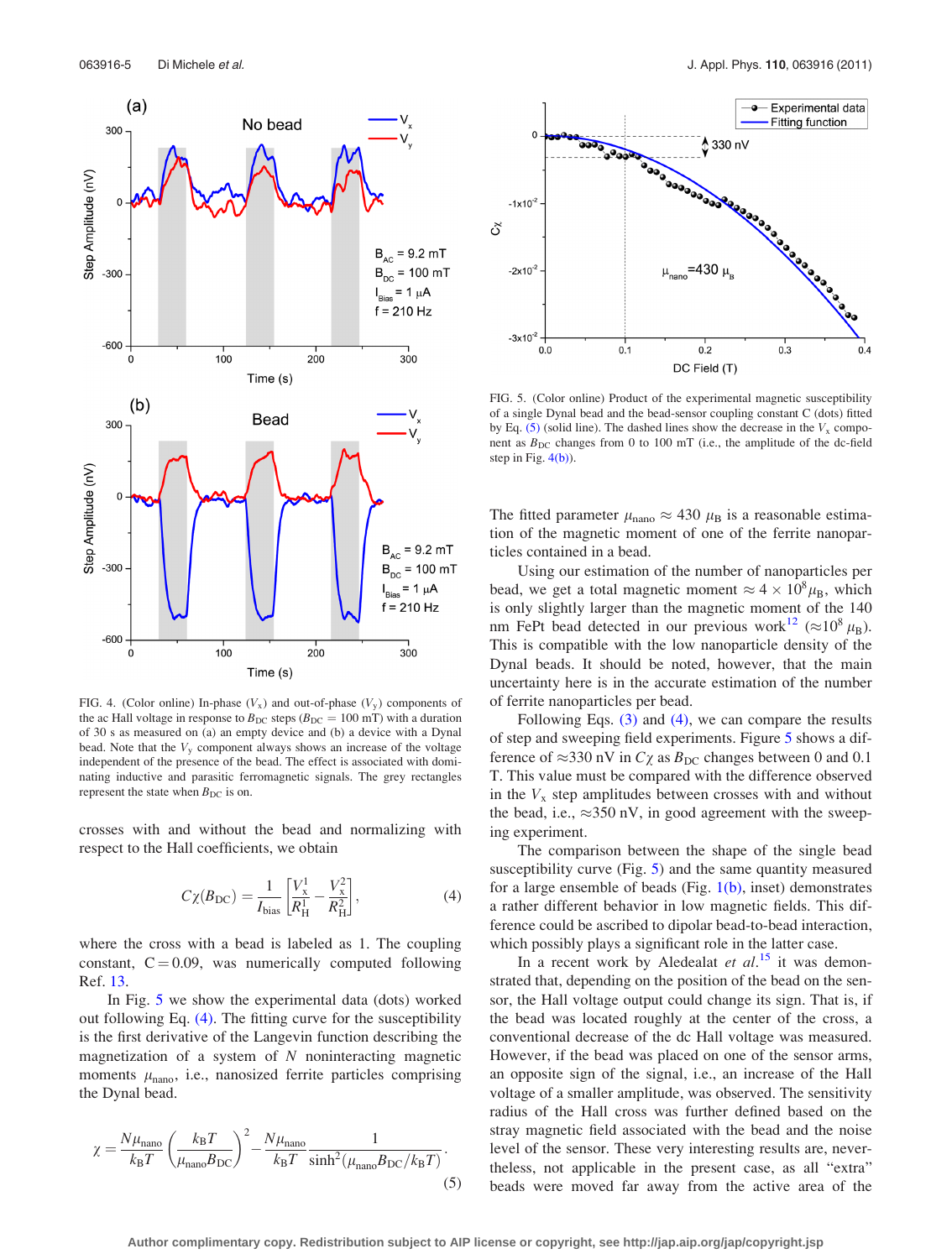<span id="page-4-0"></span>

FIG. 4. (Color online) In-phase  $(V_x)$  and out-of-phase  $(V_y)$  components of the ac Hall voltage in response to  $B_{\text{DC}}$  steps ( $B_{\text{DC}} = 100 \text{ mT}$ ) with a duration of 30 s as measured on (a) an empty device and (b) a device with a Dynal bead. Note that the  $V<sub>y</sub>$  component always shows an increase of the voltage independent of the presence of the bead. The effect is associated with dominating inductive and parasitic ferromagnetic signals. The grey rectangles represent the state when  $B_{\text{DC}}$  is on.

crosses with and without the bead and normalizing with respect to the Hall coefficients, we obtain

$$
C\chi(B_{\rm DC}) = \frac{1}{I_{\rm bias}} \left[ \frac{V_x^1}{R_{\rm H}^1} - \frac{V_x^2}{R_{\rm H}^2} \right],\tag{4}
$$

where the cross with a bead is labeled as 1. The coupling constant,  $C = 0.09$ , was numerically computed following Ref. [13.](#page-5-0)

In Fig. 5 we show the experimental data (dots) worked out following Eq. (4). The fitting curve for the susceptibility is the first derivative of the Langevin function describing the magnetization of a system of  $N$  noninteracting magnetic moments  $\mu_{\text{nano}}$ , i.e., nanosized ferrite particles comprising the Dynal bead.

$$
\chi = \frac{N\mu_{\text{nano}}}{k_{\text{B}}T} \left(\frac{k_{\text{B}}T}{\mu_{\text{nano}}B_{\text{DC}}}\right)^2 - \frac{N\mu_{\text{nano}}}{k_{\text{B}}T} \frac{1}{\sinh^2(\mu_{\text{nano}}B_{\text{DC}}/k_{\text{B}}T)}.
$$
\n(5)



FIG. 5. (Color online) Product of the experimental magnetic susceptibility of a single Dynal bead and the bead-sensor coupling constant C (dots) fitted by Eq. (5) (solid line). The dashed lines show the decrease in the  $V_x$  component as  $B_{\text{DC}}$  changes from 0 to 100 mT (i.e., the amplitude of the dc-field step in Fig.  $4(b)$ ).

The fitted parameter  $\mu_{\text{nano}} \approx 430 \mu_{\text{B}}$  is a reasonable estimation of the magnetic moment of one of the ferrite nanoparticles contained in a bead.

Using our estimation of the number of nanoparticles per bead, we get a total magnetic moment  $\approx 4 \times 10^8 \mu_B$ , which is only slightly larger than the magnetic moment of the 140 nm FePt bead detected in our previous work<sup>[12](#page-5-0)</sup> ( $\approx 10^8 \mu_B$ ). This is compatible with the low nanoparticle density of the Dynal beads. It should be noted, however, that the main uncertainty here is in the accurate estimation of the number of ferrite nanoparticles per bead.

Following Eqs. [\(3\)](#page-3-0) and (4), we can compare the results of step and sweeping field experiments. Figure 5 shows a difference of  $\approx$ 330 nV in  $C\chi$  as  $B_{\text{DC}}$  changes between 0 and 0.1 T. This value must be compared with the difference observed in the  $V_x$  step amplitudes between crosses with and without the bead, i.e.,  $\approx$ 350 nV, in good agreement with the sweeping experiment.

The comparison between the shape of the single bead susceptibility curve (Fig. 5) and the same quantity measured for a large ensemble of beads (Fig.  $1(b)$ , inset) demonstrates a rather different behavior in low magnetic fields. This difference could be ascribed to dipolar bead-to-bead interaction, which possibly plays a significant role in the latter case.

In a recent work by Aledealat et  $al.^{15}$  $al.^{15}$  $al.^{15}$  it was demonstrated that, depending on the position of the bead on the sensor, the Hall voltage output could change its sign. That is, if the bead was located roughly at the center of the cross, a conventional decrease of the dc Hall voltage was measured. However, if the bead was placed on one of the sensor arms, an opposite sign of the signal, i.e., an increase of the Hall voltage of a smaller amplitude, was observed. The sensitivity radius of the Hall cross was further defined based on the stray magnetic field associated with the bead and the noise level of the sensor. These very interesting results are, nevertheless, not applicable in the present case, as all "extra" beads were moved far away from the active area of the